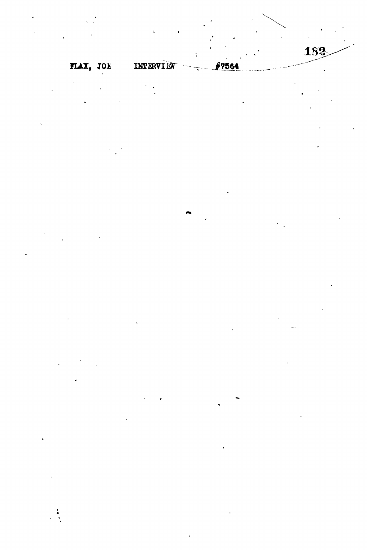182

 $\begin{array}{c} \bullet \\ \bullet \\ \bullet \end{array}$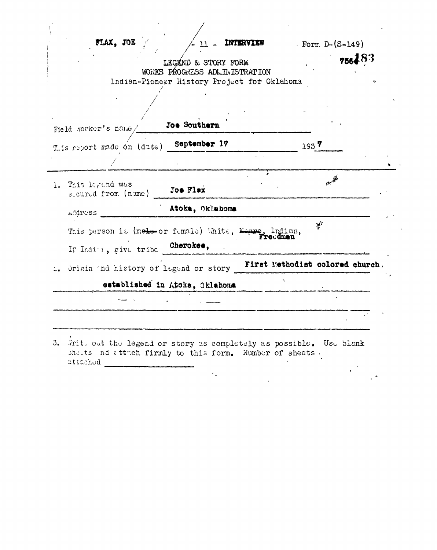| FLAX, JOE                                             | 11 - INTERVIEW                                                               |                                 | <b>Form <math>D-(S-149)</math></b> |        |
|-------------------------------------------------------|------------------------------------------------------------------------------|---------------------------------|------------------------------------|--------|
|                                                       | LEGEND & STORY FORM                                                          |                                 |                                    | 756483 |
|                                                       | WORKS PROGRESS ADLINISTRATION<br>Indian-Pionegr History Project for Oklahoma |                                 |                                    |        |
|                                                       |                                                                              |                                 |                                    |        |
|                                                       |                                                                              |                                 |                                    |        |
|                                                       |                                                                              |                                 |                                    |        |
| Field norker's name/                                  | Joe Southern                                                                 |                                 |                                    |        |
| This report made on (date) September 17               |                                                                              |                                 | 1937                               |        |
|                                                       |                                                                              |                                 |                                    |        |
|                                                       |                                                                              |                                 | <b>Better</b>                      |        |
| 1. This legand was<br>socured from (name)             | Joe Flax                                                                     |                                 |                                    |        |
| <i><b>Address</b></i>                                 | Atoka, Oklahoma                                                              |                                 |                                    |        |
| This person is (melo-or fumale) Unite, Negro, Indian, |                                                                              |                                 | $\mathbb{R}^2$                     |        |
|                                                       |                                                                              |                                 |                                    |        |
| If Inditi, give tribe Cherokee,                       |                                                                              |                                 |                                    |        |
| Origin and history of legend or story                 |                                                                              | First Methodist colored church. |                                    |        |
|                                                       | established in Atoka, Oklahoma                                               |                                 |                                    |        |
|                                                       |                                                                              |                                 |                                    |        |

3.  $\pi$ inito out the legend or story as completely as possible. Use blank sheets nd attach firmly to this form. Number of sheets.  $\mathcal{L}^{\mathcal{L}}$  and  $\mathcal{L}^{\mathcal{L}}$  and  $\mathcal{L}^{\mathcal{L}}$  $\epsilon^{-1}$ 

 $\mathcal{L}_{\mathbf{a}}$ 

 $\sim 10^{11}$  km s  $^{-1}$ 

 $\ddot{\phantom{1}}$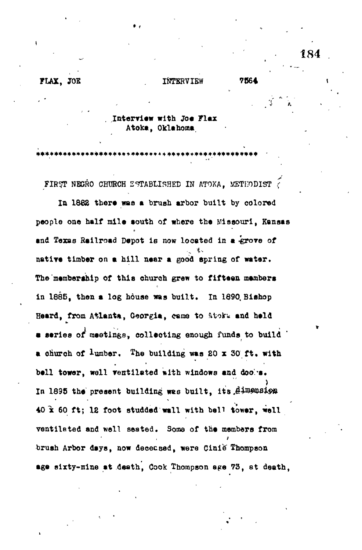\*\*\*\*\*\*\*\*\*\*\*\*\*\*\*\*\*

## **Interview with Joe Flax**

Atoka, Oklahoma

\* 4

**FIR7T NEGRO CHURCH ESTABLISHED IN ATOKA, METHODIST ?**

**In 1862 there was a brush arbor built by colored people one half mile aouth of where the Missouri, Kansas and Texas Railroad Depot is now located in a -grove of natiye timber on a hill near a good spring of water. The'membership of this church grew to fifteen members in 1685, then a log house was built. In 1890, Bishop** Heard, from Atlanta, Georgia, came to Atoka and held **• series of meetings, collecting enough funds to build a** church of  $l$ umber. The building was 20 x 30 ft. with bell tower, well ventilated with windows and doo a. In 1895 the present building was built, its Aimension **40 x 60 ft; 12 foot studded wall with bell tower, well ventilated and well seated. Some of the members from brush Arbor days, now deceased, were Cinie Thompson age sixty-nine at death, Cook Thompson ege 73, et death,**